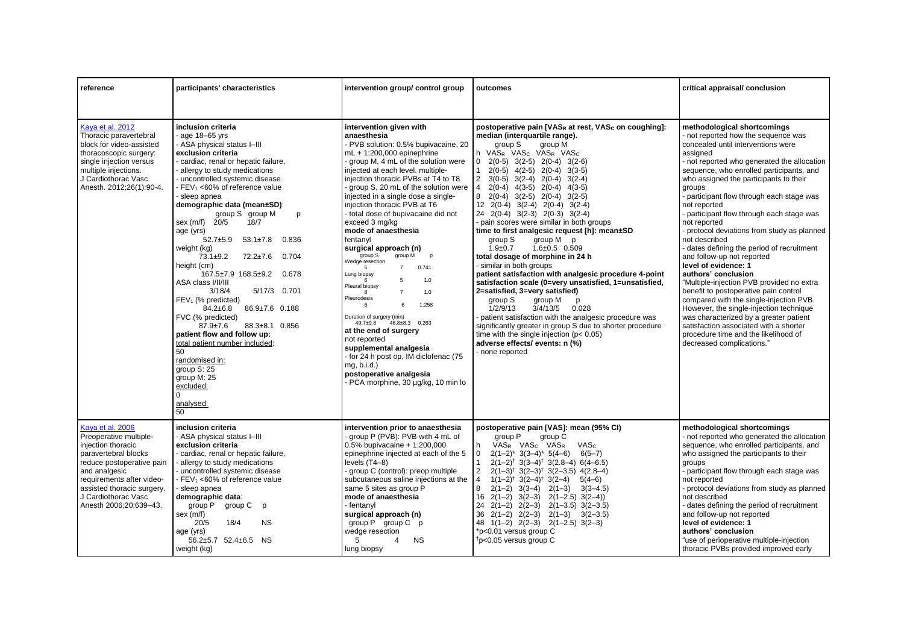| reference                                                                                                                                                                                                                                          | participants' characteristics                                                                                                                                                                                                                                                                                                                                                                                                                                                                                                                                                                                                                                                                                                                                                                                                                                                 | intervention group/ control group                                                                                                                                                                                                                                                                                                                                                                                                                                                                                                                                                                                                                                                                                                                                                                                                                                                                                                     | outcomes                                                                                                                                                                                                                                                                                                                                                                                                                                                                                                                                                                                                                                                                                                                                                                                                                                                                                                                                                                                                                                                                                                                                                             | critical appraisal/ conclusion                                                                                                                                                                                                                                                                                                                                                                                                                                                                                                                                                                                                                                                                                                                                                                                                                                                                                                |
|----------------------------------------------------------------------------------------------------------------------------------------------------------------------------------------------------------------------------------------------------|-------------------------------------------------------------------------------------------------------------------------------------------------------------------------------------------------------------------------------------------------------------------------------------------------------------------------------------------------------------------------------------------------------------------------------------------------------------------------------------------------------------------------------------------------------------------------------------------------------------------------------------------------------------------------------------------------------------------------------------------------------------------------------------------------------------------------------------------------------------------------------|---------------------------------------------------------------------------------------------------------------------------------------------------------------------------------------------------------------------------------------------------------------------------------------------------------------------------------------------------------------------------------------------------------------------------------------------------------------------------------------------------------------------------------------------------------------------------------------------------------------------------------------------------------------------------------------------------------------------------------------------------------------------------------------------------------------------------------------------------------------------------------------------------------------------------------------|----------------------------------------------------------------------------------------------------------------------------------------------------------------------------------------------------------------------------------------------------------------------------------------------------------------------------------------------------------------------------------------------------------------------------------------------------------------------------------------------------------------------------------------------------------------------------------------------------------------------------------------------------------------------------------------------------------------------------------------------------------------------------------------------------------------------------------------------------------------------------------------------------------------------------------------------------------------------------------------------------------------------------------------------------------------------------------------------------------------------------------------------------------------------|-------------------------------------------------------------------------------------------------------------------------------------------------------------------------------------------------------------------------------------------------------------------------------------------------------------------------------------------------------------------------------------------------------------------------------------------------------------------------------------------------------------------------------------------------------------------------------------------------------------------------------------------------------------------------------------------------------------------------------------------------------------------------------------------------------------------------------------------------------------------------------------------------------------------------------|
|                                                                                                                                                                                                                                                    |                                                                                                                                                                                                                                                                                                                                                                                                                                                                                                                                                                                                                                                                                                                                                                                                                                                                               |                                                                                                                                                                                                                                                                                                                                                                                                                                                                                                                                                                                                                                                                                                                                                                                                                                                                                                                                       |                                                                                                                                                                                                                                                                                                                                                                                                                                                                                                                                                                                                                                                                                                                                                                                                                                                                                                                                                                                                                                                                                                                                                                      |                                                                                                                                                                                                                                                                                                                                                                                                                                                                                                                                                                                                                                                                                                                                                                                                                                                                                                                               |
| Kava et al. 2012<br>Thoracic paravertebral<br>block for video-assisted<br>thoracoscopic surgery:<br>single injection versus<br>multiple injections.<br>J Cardiothorac Vasc<br>Anesth. 2012;26(1):90-4.                                             | inclusion criteria<br>age $18-65$ yrs<br>- ASA physical status I-III<br>exclusion criteria<br>cardiac, renal or hepatic failure,<br>- allergy to study medications<br>uncontrolled systemic disease<br>FEV <sub>1</sub> <60% of reference value<br>sleep apnea<br>demographic data (mean±SD):<br>group S group M<br>p<br>sex (m/f)<br>20/5<br>18/7<br>age (yrs)<br>$52.7 + 5.9$<br>$53.1 \pm 7.8$<br>0.836<br>weight (kg)<br>$73.1 \pm 9.2$<br>72.2±7.6<br>0.704<br>height (cm)<br>$167.5 \pm 7.9$ $168.5 \pm 9.2$<br>0.678<br>ASA class I/II/III<br>3/18/4<br>5/17/3 0.701<br>$FEV1$ (% predicted)<br>86.9±7.6 0.188<br>$84.2 \pm 6.8$<br>FVC (% predicted)<br>$87.9 \pm 7.6$<br>88.3±8.1 0.856<br>patient flow and follow up:<br>total patient number included:<br>$50^{\circ}$<br>randomised in:<br>group S: 25<br>group M: 25<br>excluded:<br>$\Omega$<br>analysed:<br>50 | intervention given with<br>anaesthesia<br>PVB solution: 0.5% bupivacaine, 20<br>$mL + 1:200,000$ epinephrine<br>group M, 4 mL of the solution were<br>injected at each level. multiple-<br>injection thoracic PVBs at T4 to T8<br>- group S, 20 mL of the solution were<br>injected in a single dose a single-<br>injection thoracic PVB at T6<br>- total dose of bupivacaine did not<br>exceed 3 mg/kg<br>mode of anaesthesia<br>fentanyl<br>surgical approach (n)<br>group S<br>group M<br>p<br>Wedge resection<br>$7^{\circ}$<br>0.741<br>$5\overline{5}$<br>Lung biopsy<br>5<br>1.0<br>Pleural biopsy<br>$\overline{7}$<br>1.0<br>Pleurodesis<br>1.258<br>6<br>6<br>Duration of surgery (min)<br>$49.7 + 9.8$<br>$46.8 \pm 8.3$ 0.263<br>at the end of surgery<br>not reported<br>supplemental analgesia<br>- for 24 h post op, IM diclofenac (75<br>mq, b.i.d.<br>postoperative analgesia<br>- PCA morphine, 30 µg/kg, 10 min lo | postoperative pain [VASR at rest, VASc on coughing]:<br>median (interquartile range).<br>group S<br>group M<br>h VASR VAS <sub>C</sub> VASR VASC<br>$0$ $2(0-5)$ $3(2-5)$ $2(0-4)$ $3(2-6)$<br>$2(0-5)$ $4(2-5)$ $2(0-4)$ $3(3-5)$<br>$\mathbf{1}$<br>$\overline{2}$<br>$3(0-5)$ $3(2-4)$ $2(0-4)$<br>$3(2-4)$<br>$2(0-4)$ $4(3-5)$ $2(0-4)$ $4(3-5)$<br>$\overline{4}$<br>8<br>$2(0-4)$ $3(2-5)$ $2(0-4)$<br>$3(2-5)$<br>12 2(0-4) 3(2-4) 2(0-4) 3(2-4)<br>24 2(0-4) 3(2-3) 2(0-3) 3(2-4)<br>- pain scores were similar in both groups<br>time to first analgesic request [h]: mean±SD<br>group M p<br>group S<br>$1.9 + 0.7$<br>$1.6 \pm 0.5$ 0.509<br>total dosage of morphine in 24 h<br>- similar in both groups<br>patient satisfaction with analgesic procedure 4-point<br>satisfaction scale (0=very unsatisfied, 1=unsatisfied,<br>2=satisfied, 3=very satisfied)<br>group S<br>group M<br>p<br>1/2/9/13<br>3/4/13/5<br>0.028<br>- patient satisfaction with the analgesic procedure was<br>significantly greater in group S due to shorter procedure<br>time with the single injection ( $p < 0.05$ )<br>adverse effects/ events: n (%)<br>- none reported | methodological shortcomings<br>- not reported how the sequence was<br>concealed until interventions were<br>assigned<br>- not reported who generated the allocation<br>sequence, who enrolled participants, and<br>who assigned the participants to their<br>groups<br>- participant flow through each stage was<br>not reported<br>- participant flow through each stage was<br>not reported<br>- protocol deviations from study as planned<br>not described<br>- dates defining the period of recruitment<br>and follow-up not reported<br>level of evidence: 1<br>authors' conclusion<br>"Multiple-injection PVB provided no extra<br>benefit to postoperative pain control<br>compared with the single-injection PVB.<br>However, the single-injection technique<br>was characterized by a greater patient<br>satisfaction associated with a shorter<br>procedure time and the likelihood of<br>decreased complications." |
| Kava et al. 2006<br>Preoperative multiple-<br>injection thoracic<br>paravertebral blocks<br>reduce postoperative pain<br>and analgesic<br>requirements after video-<br>assisted thoracic surgery.<br>J Cardiothorac Vasc<br>Anesth 2006;20:639-43. | inclusion criteria<br>- ASA physical status I-III<br>exclusion criteria<br>- cardiac, renal or hepatic failure,<br>allergy to study medications<br>uncontrolled systemic disease<br>FEV <sub>1</sub> <60% of reference value<br>- sleep apnea<br>demographic data:<br>group P<br>group C<br>p<br>sex (m/f)<br>20/5<br>18/4<br><b>NS</b><br>age (yrs)<br>56.2±5.7 52.4±6.5 NS<br>weight (kg)                                                                                                                                                                                                                                                                                                                                                                                                                                                                                   | intervention prior to anaesthesia<br>group P (PVB): PVB with 4 mL of<br>$0.5\%$ bupivacaine + 1:200,000<br>epinephrine injected at each of the 5<br>levels (T4-8)<br>group C (control): preop multiple<br>subcutaneous saline injections at the<br>same 5 sites as group P<br>mode of anaesthesia<br>- fentanyl<br>surgical approach (n)<br>group P group C p<br>wedge resection<br>5<br><b>NS</b><br>4<br>lung biopsy                                                                                                                                                                                                                                                                                                                                                                                                                                                                                                                | postoperative pain [VAS]: mean (95% CI)<br>group P<br>group C<br>VASR VAS <sub>C</sub> VASR<br><b>VASc</b><br>h.<br>$2(1-2)^*$ 3(3-4)* 5(4-6)<br>$6(5 - 7)$<br>0<br>$2(1-2)^{\dagger}$ 3(3-4) <sup>†</sup> 3(2.8-4) 6(4-6.5)<br>$\overline{2}$<br>$2(1-3)^{\dagger}$ 3(2-3) <sup>†</sup> 3(2-3.5) 4(2.8-4)<br>$\overline{4}$<br>$1(1-2)^{\dagger}$ 3(2-4) <sup>†</sup> 3(2-4)<br>$5(4-6)$<br>8<br>$2(1-2)$ $3(3-4)$ $2(1-3)$<br>$3(3-4.5)$<br>$16$ $2(1-2)$ $3(2-3)$ $2(1-2.5)$ $3(2-4)$<br>24<br>$2(1-2)$ $2(2-3)$ $2(1-3.5)$ $3(2-3.5)$<br>$36$ $2(1-2)$ $2(2-3)$ $2(1-3)$ $3(2-3.5)$<br>48 $1(1-2)$ $2(2-3)$ $2(1-2.5)$ $3(2-3)$<br>*p<0.01 versus group C<br><sup>t</sup> p<0.05 versus group C                                                                                                                                                                                                                                                                                                                                                                                                                                                                  | methodological shortcomings<br>- not reported who generated the allocation<br>sequence, who enrolled participants, and<br>who assigned the participants to their<br>groups<br>- participant flow through each stage was<br>not reported<br>- protocol deviations from study as planned<br>not described<br>- dates defining the period of recruitment<br>and follow-up not reported<br>level of evidence: 1<br>authors' conclusion<br>"use of perioperative multiple-injection<br>thoracic PVBs provided improved early                                                                                                                                                                                                                                                                                                                                                                                                       |